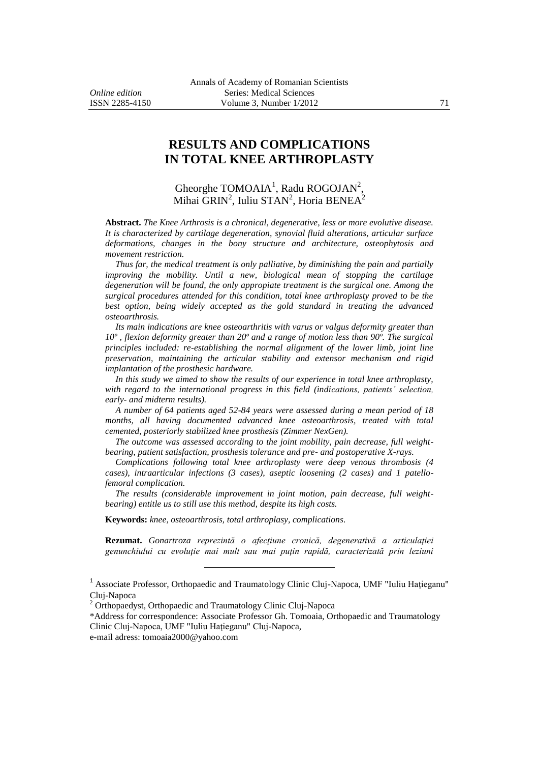# **RESULTS AND COMPLICATIONS IN TOTAL KNEE ARTHROPLASTY**

Gheorghe TOMOAIA<sup>1</sup>, Radu ROGOJAN<sup>2</sup>, Mihai  $\text{GRIN}^2$ , Iuliu STAN<sup>2</sup>, Horia BENEA<sup>2</sup>

**Abstract.** *The Knee Arthrosis is a chronical, degenerative, less or more evolutive disease. It is characterized by cartilage degeneration, synovial fluid alterations, articular surface deformations, changes in the bony structure and architecture, osteophytosis and movement restriction.*

*Thus far, the medical treatment is only palliative, by diminishing the pain and partially improving the mobility. Until a new, biological mean of stopping the cartilage degeneration will be found, the only appropiate treatment is the surgical one. Among the surgical procedures attended for this condition, total knee arthroplasty proved to be the*  best option, being widely accepted as the gold standard in treating the advanced *osteoarthrosis.*

*Its main indications are knee osteoarthritis with varus or valgus deformity greater than 10º , flexion deformity greater than 20º and a range of motion less than 90º. The surgical principles included: re-establishing the normal alignment of the lower limb, joint line preservation, maintaining the articular stability and extensor mechanism and rigid implantation of the prosthesic hardware.*

*In this study we aimed to show the results of our experience in total knee arthroplasty, with regard to the international progress in this field (indications, patients' selection, early- and midterm results).*

*A number of 64 patients aged 52-84 years were assessed during a mean period of 18 months, all having documented advanced knee osteoarthrosis, treated with total cemented, posteriorly stabilized knee prosthesis (Zimmer NexGen).*

*The outcome was assessed according to the joint mobility, pain decrease, full weightbearing, patient satisfaction, prosthesis tolerance and pre- and postoperative X-rays.*

*Complications following total knee arthroplasty were deep venous thrombosis (4 cases), intraarticular infections (3 cases), aseptic loosening (2 cases) and 1 patellofemoral complication.*

*The results (considerable improvement in joint motion, pain decrease, full weightbearing) entitle us to still use this method, despite its high costs.*

**Keywords:** *knee, osteoarthrosis, total arthroplasy, complications.*

**Rezumat.** *Gonartroza reprezintă o afecţiune cronică, degenerativă a articulaţiei genunchiului cu evoluţie mai mult sau mai puţin rapidă, caracterizată prin leziuni* 

 $\overline{a}$ 

\*Address for correspondence: Associate Professor Gh. Tomoaia, Orthopaedic and Traumatology Clinic Cluj-Napoca, UMF "Iuliu Haţieganu" Cluj-Napoca,

e-mail adress: tomoaia2000@yahoo.com

<sup>1</sup> Associate Professor, Orthopaedic and Traumatology Clinic Cluj-Napoca, UMF "Iuliu Haţieganu" Cluj-Napoca

<sup>&</sup>lt;sup>2</sup> Orthopaedyst, Orthopaedic and Traumatology Clinic Cluj-Napoca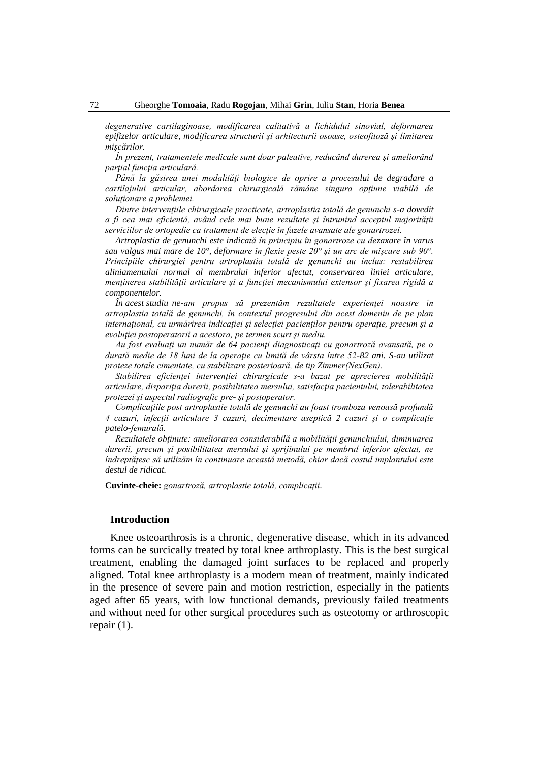*degenerative cartilaginoase, modificarea calitativă a lichidului sinovial, deformarea epifizelor articulare, modificarea structurii şi arhitecturii osoase, osteofitoză şi limitarea mişcărilor.*

*În prezent, tratamentele medicale sunt doar paleative, reducând durerea şi ameliorând parţial funcţia articulară.*

Până la găsirea unei modalități biologice de oprire a procesului de degradare a *cartilajului articular, abordarea chirurgicală rămâne singura opţiune viabilă de soluţionare a problemei.*

*Dintre intervenţiile chirurgicale practicate, artroplastia totală de genunchi s-a dovedit a fi cea mai eficientă, având cele mai bune rezultate şi întrunind acceptul majorităţii serviciilor de ortopedie ca tratament de elecţie în fazele avansate ale gonartrozei.*

*Artroplastia de genunchi este indicată în principiu în gonartroze cu dezaxare în varus sau valgus mai mare de 10°, deformare în flexie peste 20° şi un arc de mişcare sub 90°. Principiile chirurgiei pentru artroplastia totală de genunchi au inclus: restabilirea aliniamentului normal al membrului inferior afectat, conservarea liniei articulare, menţinerea stabilităţii articulare şi a funcţiei mecanismului extensor şi fixarea rigidă a componentelor.*

*În acest studiu ne-am propus să prezentăm rezultatele experienţei noastre în artroplastia totală de genunchi, în contextul progresului din acest domeniu de pe plan internaţional, cu urmărirea indicaţiei şi selecţiei pacienţilor pentru operaţie, precum şi a evoluţiei postoperatorii a acestora, pe termen scurt şi mediu.*

*Au fost evaluaţi un număr de 64 pacienţi diagnosticaţi cu gonartroză avansată, pe o durată medie de 18 luni de la operaţie cu limită de vârsta între 52-82 ani. S-au utilizat proteze totale cimentate, cu stabilizare posterioară, de tip Zimmer(NexGen).*

*Stabilirea eficienţei intervenţiei chirurgicale s-a bazat pe aprecierea mobilităţii articulare, dispariţia durerii, posibilitatea mersului, satisfacţia pacientului, tolerabilitatea protezei şi aspectul radiografic pre- şi postoperator.*

*Complicaţiile post artroplastie totală de genunchi au foast tromboza venoasă profundă 4 cazuri, infecţii articulare 3 cazuri, decimentare aseptică 2 cazuri şi o complicaţie patelo-femurală.*

*Rezultatele obţinute: ameliorarea considerabilă a mobilităţii genunchiului, diminuarea durerii, precum şi posibilitatea mersului şi sprijinului pe membrul inferior afectat, ne îndreptăţesc să utilizăm în continuare această metodă, chiar dacă costul implantului este destul de ridicat.*

**Cuvinte-cheie:** *gonartroză, artroplastie totală, complicaţii.*

#### **Introduction**

Knee osteoarthrosis is a chronic, degenerative disease, which in its advanced forms can be surcically treated by total knee arthroplasty. This is the best surgical treatment, enabling the damaged joint surfaces to be replaced and properly aligned. Total knee arthroplasty is a modern mean of treatment, mainly indicated in the presence of severe pain and motion restriction, especially in the patients aged after 65 years, with low functional demands, previously failed treatments and without need for other surgical procedures such as osteotomy or arthroscopic repair (1).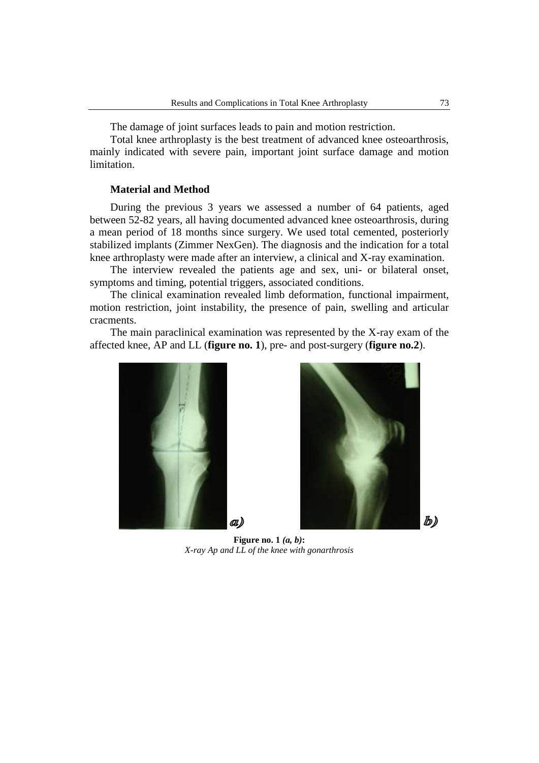The damage of joint surfaces leads to pain and motion restriction.

Total knee arthroplasty is the best treatment of advanced knee osteoarthrosis, mainly indicated with severe pain, important joint surface damage and motion limitation.

### **Material and Method**

During the previous 3 years we assessed a number of 64 patients, aged between 52-82 years, all having documented advanced knee osteoarthrosis, during a mean period of 18 months since surgery. We used total cemented, posteriorly stabilized implants (Zimmer NexGen). The diagnosis and the indication for a total knee arthroplasty were made after an interview, a clinical and X-ray examination.

The interview revealed the patients age and sex, uni- or bilateral onset, symptoms and timing, potential triggers, associated conditions.

The clinical examination revealed limb deformation, functional impairment, motion restriction, joint instability, the presence of pain, swelling and articular cracments.

The main paraclinical examination was represented by the X-ray exam of the affected knee, AP and LL (**figure no. 1**), pre- and post-surgery (**figure no.2**).





**Figure no. 1** *(a, b)***:** *X-ray Ap and LL of the knee with gonarthrosis*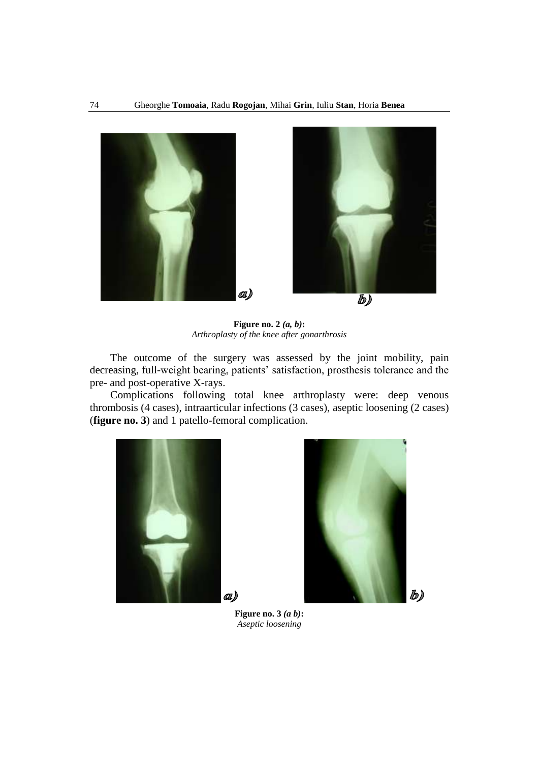

**Figure no. 2** *(a, b)***:** *Arthroplasty of the knee after gonarthrosis*

The outcome of the surgery was assessed by the joint mobility, pain decreasing, full-weight bearing, patients' satisfaction, prosthesis tolerance and the pre- and post-operative X-rays.

Complications following total knee arthroplasty were: deep venous thrombosis (4 cases), intraarticular infections (3 cases), aseptic loosening (2 cases) (**figure no. 3**) and 1 patello-femoral complication.





**Figure no. 3** *(a b)***:** *Aseptic loosening*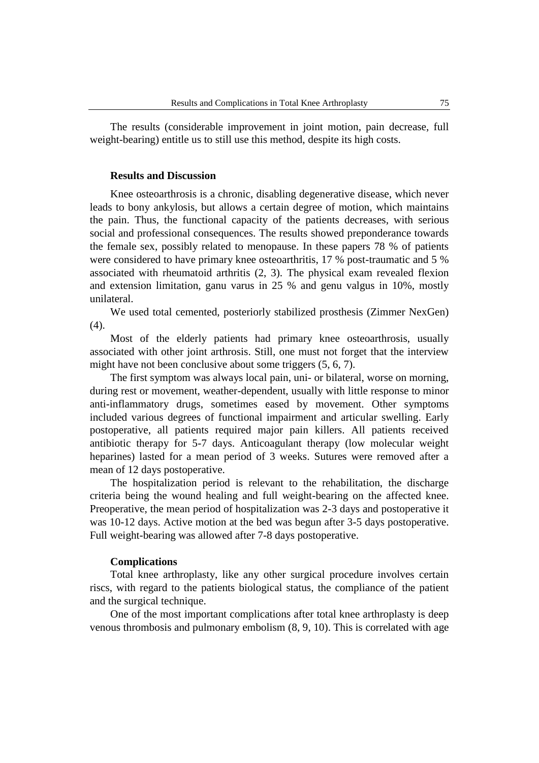The results (considerable improvement in joint motion, pain decrease, full weight-bearing) entitle us to still use this method, despite its high costs.

### **Results and Discussion**

Knee osteoarthrosis is a chronic, disabling degenerative disease, which never leads to bony ankylosis, but allows a certain degree of motion, which maintains the pain. Thus, the functional capacity of the patients decreases, with serious social and professional consequences. The results showed preponderance towards the female sex, possibly related to menopause. In these papers 78 % of patients were considered to have primary knee osteoarthritis, 17 % post-traumatic and 5 % associated with rheumatoid arthritis (2, 3). The physical exam revealed flexion and extension limitation, ganu varus in 25 % and genu valgus in 10%, mostly unilateral.

We used total cemented, posteriorly stabilized prosthesis (Zimmer NexGen) (4).

Most of the elderly patients had primary knee osteoarthrosis, usually associated with other joint arthrosis. Still, one must not forget that the interview might have not been conclusive about some triggers  $(5, 6, 7)$ .

The first symptom was always local pain, uni- or bilateral, worse on morning, during rest or movement, weather-dependent, usually with little response to minor anti-inflammatory drugs, sometimes eased by movement. Other symptoms included various degrees of functional impairment and articular swelling. Early postoperative, all patients required major pain killers. All patients received antibiotic therapy for 5-7 days. Anticoagulant therapy (low molecular weight heparines) lasted for a mean period of 3 weeks. Sutures were removed after a mean of 12 days postoperative.

The hospitalization period is relevant to the rehabilitation, the discharge criteria being the wound healing and full weight-bearing on the affected knee. Preoperative, the mean period of hospitalization was 2-3 days and postoperative it was 10-12 days. Active motion at the bed was begun after 3-5 days postoperative. Full weight-bearing was allowed after 7-8 days postoperative.

# **Complications**

Total knee arthroplasty, like any other surgical procedure involves certain riscs, with regard to the patients biological status, the compliance of the patient and the surgical technique.

One of the most important complications after total knee arthroplasty is deep venous thrombosis and pulmonary embolism (8, 9, 10). This is correlated with age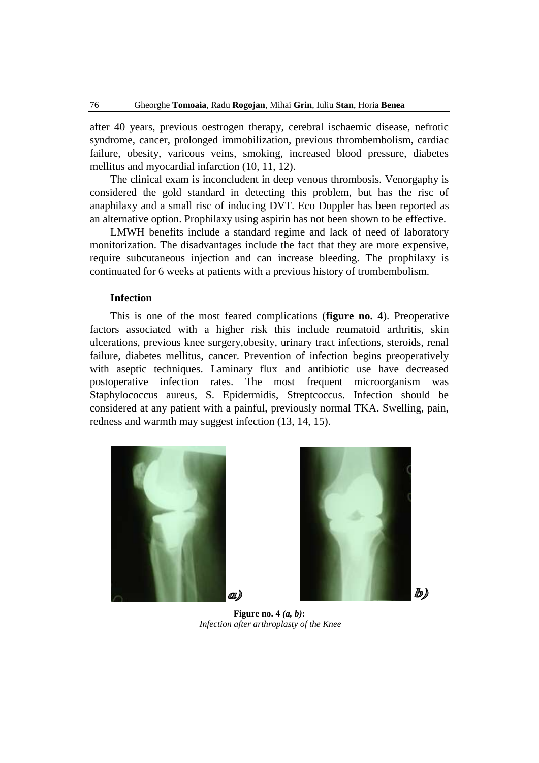after 40 years, previous oestrogen therapy, cerebral ischaemic disease, nefrotic syndrome, cancer, prolonged immobilization, previous thrombembolism, cardiac failure, obesity, varicous veins, smoking, increased blood pressure, diabetes mellitus and myocardial infarction (10, 11, 12).

The clinical exam is inconcludent in deep venous thrombosis. Venorgaphy is considered the gold standard in detecting this problem, but has the risc of anaphilaxy and a small risc of inducing DVT. Eco Doppler has been reported as an alternative option. Prophilaxy using aspirin has not been shown to be effective.

LMWH benefits include a standard regime and lack of need of laboratory monitorization. The disadvantages include the fact that they are more expensive, require subcutaneous injection and can increase bleeding. The prophilaxy is continuated for 6 weeks at patients with a previous history of trombembolism.

#### **Infection**

This is one of the most feared complications (**figure no. 4**). Preoperative factors associated with a higher risk this include reumatoid arthritis, skin ulcerations, previous knee surgery,obesity, urinary tract infections, steroids, renal failure, diabetes mellitus, cancer. Prevention of infection begins preoperatively with aseptic techniques. Laminary flux and antibiotic use have decreased postoperative infection rates. The most frequent microorganism was Staphylococcus aureus, S. Epidermidis, Streptcoccus. Infection should be considered at any patient with a painful, previously normal TKA. Swelling, pain, redness and warmth may suggest infection (13, 14, 15).





**Figure no. 4** *(a, b)***:** *Infection after arthroplasty of the Knee*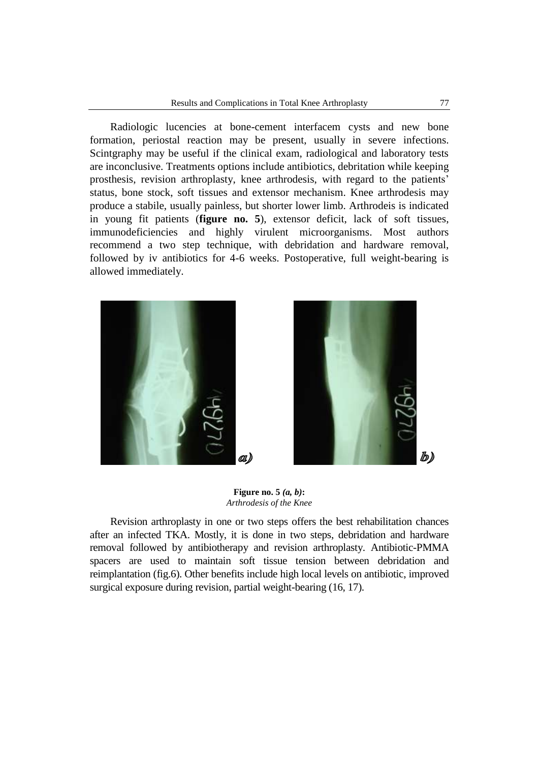Radiologic lucencies at bone-cement interfacem cysts and new bone formation, periostal reaction may be present, usually in severe infections. Scintgraphy may be useful if the clinical exam, radiological and laboratory tests are inconclusive. Treatments options include antibiotics, debritation while keeping prosthesis, revision arthroplasty, knee arthrodesis, with regard to the patients' status, bone stock, soft tissues and extensor mechanism. Knee arthrodesis may produce a stabile, usually painless, but shorter lower limb. Arthrodeis is indicated in young fit patients (**figure no. 5**), extensor deficit, lack of soft tissues, immunodeficiencies and highly virulent microorganisms. Most authors recommend a two step technique, with debridation and hardware removal, followed by iv antibiotics for 4-6 weeks. Postoperative, full weight-bearing is allowed immediately.





**Figure no. 5** *(a, b)***:** *Arthrodesis of the Knee*

Revision arthroplasty in one or two steps offers the best rehabilitation chances after an infected TKA. Mostly, it is done in two steps, debridation and hardware removal followed by antibiotherapy and revision arthroplasty. Antibiotic-PMMA spacers are used to maintain soft tissue tension between debridation and reimplantation (fig.6). Other benefits include high local levels on antibiotic, improved surgical exposure during revision, partial weight-bearing (16, 17).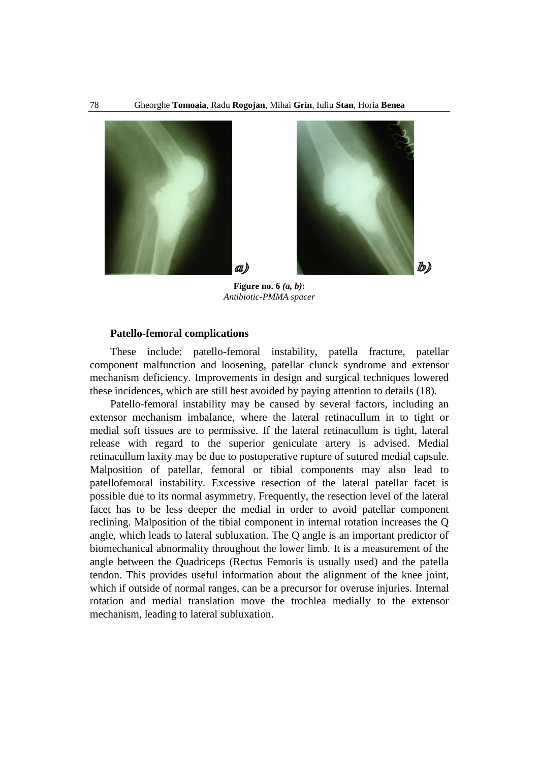

**Figure no. 6** *(a, b)***:** *Antibiotic-PMMA spacer*

#### **Patello-femoral complications**

These include: patello-femoral instability, patella fracture, patellar component malfunction and loosening, patellar clunck syndrome and extensor mechanism deficiency. Improvements in design and surgical techniques lowered these incidences, which are still best avoided by paying attention to details (18).

Patello-femoral instability may be caused by several factors, including an extensor mechanism imbalance, where the lateral retinacullum in to tight or medial soft tissues are to permissive. If the lateral retinacullum is tight, lateral release with regard to the superior geniculate artery is advised. Medial retinacullum laxity may be due to postoperative rupture of sutured medial capsule. Malposition of patellar, femoral or tibial components may also lead to patellofemoral instability. Excessive resection of the lateral patellar facet is possible due to its normal asymmetry. Frequently, the resection level of the lateral facet has to be less deeper the medial in order to avoid patellar component reclining. Malposition of the tibial component in internal rotation increases the Q angle, which leads to lateral subluxation. The Q angle is an important predictor of [biomechanical](http://www.sportsinjuryclinic.net/cybertherapist/general/biomechanics_video.php) abnormality throughout the lower limb. It is a measurement of the angle between the Quadriceps (Rectus Femoris is usually used) and the patella tendon. This provides useful information about the alignment of the knee joint, which if outside of normal ranges, can be a precursor for overuse injuries. Internal rotation and medial translation move the trochlea medially to the extensor mechanism, leading to lateral subluxation.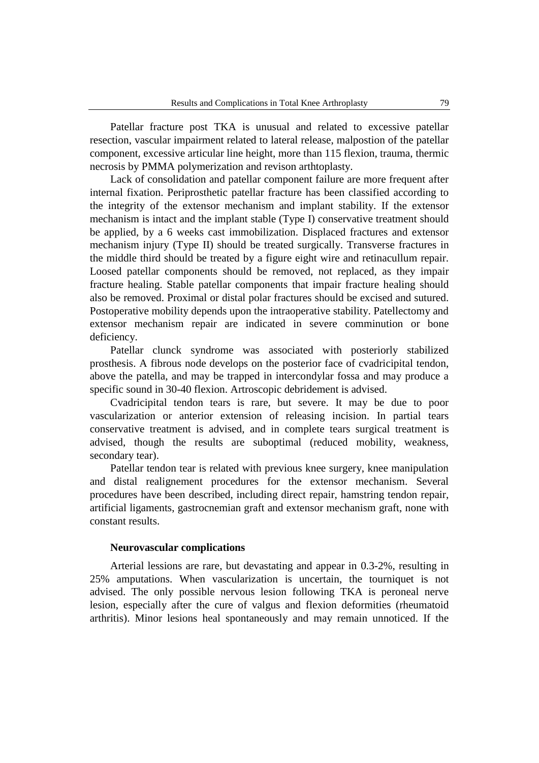Patellar fracture post TKA is unusual and related to excessive patellar resection, vascular impairment related to lateral release, malpostion of the patellar component, excessive articular line height, more than 115 flexion, trauma, thermic necrosis by PMMA polymerization and revison arthtoplasty.

Lack of consolidation and patellar component failure are more frequent after internal fixation. Periprosthetic patellar fracture has been classified according to the integrity of the extensor mechanism and implant stability. If the extensor mechanism is intact and the implant stable (Type I) conservative treatment should be applied, by a 6 weeks cast immobilization. Displaced fractures and extensor mechanism injury (Type II) should be treated surgically. Transverse fractures in the middle third should be treated by a figure eight wire and retinacullum repair. Loosed patellar components should be removed, not replaced, as they impair fracture healing. Stable patellar components that impair fracture healing should also be removed. Proximal or distal polar fractures should be excised and sutured. Postoperative mobility depends upon the intraoperative stability. Patellectomy and extensor mechanism repair are indicated in severe comminution or bone deficiency.

Patellar clunck syndrome was associated with posteriorly stabilized prosthesis. A fibrous node develops on the posterior face of cvadricipital tendon, above the patella, and may be trapped in intercondylar fossa and may produce a specific sound in 30-40 flexion. Artroscopic debridement is advised.

Cvadricipital tendon tears is rare, but severe. It may be due to poor vascularization or anterior extension of releasing incision. In partial tears conservative treatment is advised, and in complete tears surgical treatment is advised, though the results are suboptimal (reduced mobility, weakness, secondary tear).

Patellar tendon tear is related with previous knee surgery, knee manipulation and distal realignement procedures for the extensor mechanism. Several procedures have been described, including direct repair, hamstring tendon repair, artificial ligaments, gastrocnemian graft and extensor mechanism graft, none with constant results.

#### **Neurovascular complications**

Arterial lessions are rare, but devastating and appear in 0.3-2%, resulting in 25% amputations. When vascularization is uncertain, the tourniquet is not advised. The only possible nervous lesion following TKA is peroneal nerve lesion, especially after the cure of valgus and flexion deformities (rheumatoid arthritis). Minor lesions heal spontaneously and may remain unnoticed. If the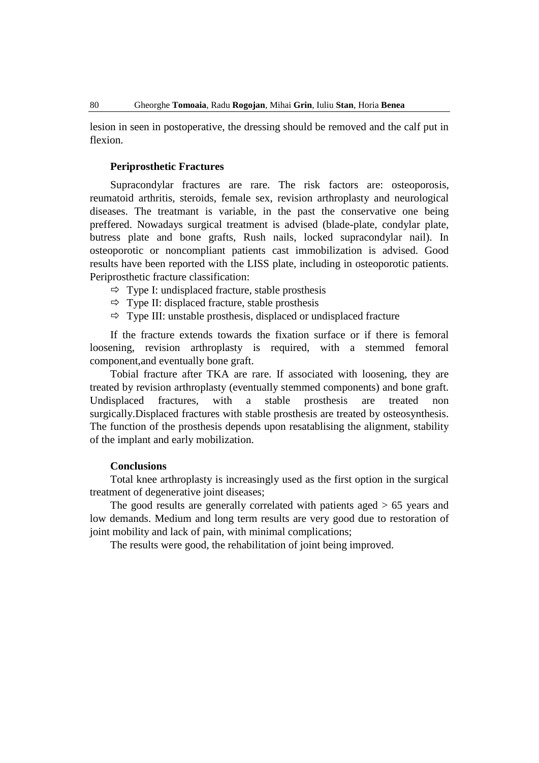lesion in seen in postoperative, the dressing should be removed and the calf put in flexion.

# **Periprosthetic Fractures**

Supracondylar fractures are rare. The risk factors are: osteoporosis, reumatoid arthritis, steroids, female sex, revision arthroplasty and neurological diseases. The treatmant is variable, in the past the conservative one being preffered. Nowadays surgical treatment is advised (blade-plate, condylar plate, butress plate and bone grafts, Rush nails, locked supracondylar nail). In osteoporotic or noncompliant patients cast immobilization is advised. Good results have been reported with the LISS plate, including in osteoporotic patients. Periprosthetic fracture classification:

- $\Rightarrow$  Type I: undisplaced fracture, stable prosthesis
- $\Rightarrow$  Type II: displaced fracture, stable prosthesis
- $\Rightarrow$  Type III: unstable prosthesis, displaced or undisplaced fracture

If the fracture extends towards the fixation surface or if there is femoral loosening, revision arthroplasty is required, with a stemmed femoral component,and eventually bone graft.

Tobial fracture after TKA are rare. If associated with loosening, they are treated by revision arthroplasty (eventually stemmed components) and bone graft. Undisplaced fractures, with a stable prosthesis are treated non surgically.Displaced fractures with stable prosthesis are treated by osteosynthesis. The function of the prosthesis depends upon resatablising the alignment, stability of the implant and early mobilization.

# **Conclusions**

Total knee arthroplasty is increasingly used as the first option in the surgical treatment of degenerative joint diseases;

The good results are generally correlated with patients aged > 65 years and low demands. Medium and long term results are very good due to restoration of joint mobility and lack of pain, with minimal complications;

The results were good, the rehabilitation of joint being improved.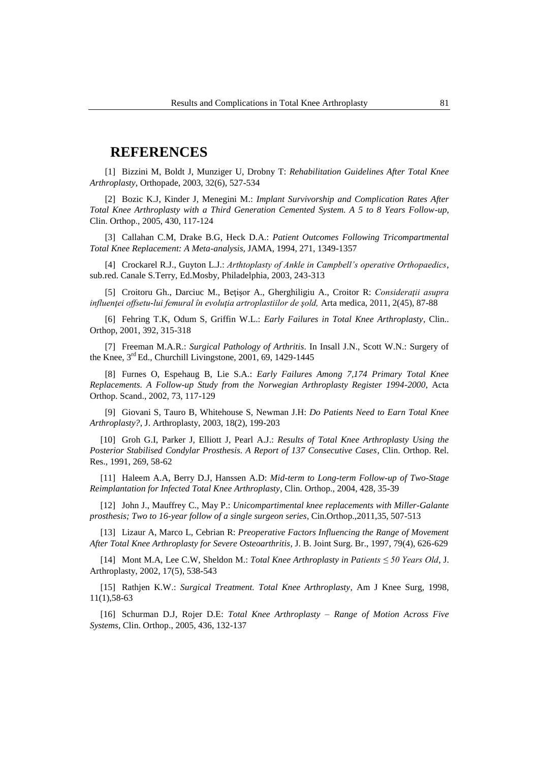# **REFERENCES**

[1] Bizzini M, Boldt J, Munziger U, Drobny T: *Rehabilitation Guidelines After Total Knee Arthroplasty*, Orthopade, 2003, 32(6), 527-534

[2] Bozic K.J, Kinder J, Menegini M.: *Implant Survivorship and Complication Rates After Total Knee Arthroplasty with a Third Generation Cemented System. A 5 to 8 Years Follow-up*, Clin. Orthop., 2005, 430, 117-124

[3] Callahan C.M, Drake B.G, Heck D.A.: *Patient Outcomes Following Tricompartmental Total Knee Replacement: A Meta-analysis,* JAMA, 1994, 271, 1349-1357

[4] Crockarel R.J., Guyton L.J.: *Arthtoplasty of Ankle in Campbell's operative Orthopaedics*, sub.red. Canale S.Terry, Ed.Mosby, Philadelphia, 2003, 243-313

[5] Croitoru Gh., Darciuc M., Beţişor A., Gherghiligiu A., Croitor R: *Consideraţii asupra influenţei offsetu-lui femural în evoluţia artroplastiilor de şold,* Arta medica, 2011, 2(45), 87-88

[6] Fehring T.K, Odum S, Griffin W.L.: *Early Failures in Total Knee Arthroplasty*, Clin.. Orthop, 2001, 392, 315-318

[7] Freeman M.A.R.: *Surgical Pathology of Arthritis*. In Insall J.N., Scott W.N.: Surgery of the Knee,  $3<sup>rd</sup>$  Ed., Churchill Livingstone, 2001, 69, 1429-1445

[8] Furnes O, Espehaug B, Lie S.A.: *Early Failures Among 7,174 Primary Total Knee Replacements. A Follow-up Study from the Norwegian Arthroplasty Register 1994-2000*, Acta Orthop. Scand., 2002, 73, 117-129

[9] Giovani S, Tauro B, Whitehouse S, Newman J.H: *Do Patients Need to Earn Total Knee Arthroplasty?*, J. Arthroplasty, 2003, 18(2), 199-203

[10] Groh G.I, Parker J, Elliott J, Pearl A.J.: *Results of Total Knee Arthroplasty Using the Posterior Stabilised Condylar Prosthesis. A Report of 137 Consecutive Cases*, Clin. Orthop. Rel. Res., 1991, 269, 58-62

[11] Haleem A.A, Berry D.J, Hanssen A.D: *Mid-term to Long-term Follow-up of Two-Stage Reimplantation for Infected Total Knee Arthroplasty*, Clin. Orthop., 2004, 428, 35-39

[12] John J., Mauffrey C., May P.: *Unicompartimental knee replacements with Miller-Galante prosthesis; Two to 16-year follow of a single surgeon series*, Cin.Orthop.,2011,35, 507-513

[13] Lizaur A, Marco L, Cebrian R: *Preoperative Factors Influencing the Range of Movement After Total Knee Arthroplasty for Severe Osteoarthritis*, J. B. Joint Surg. Br., 1997, 79(4), 626-629

[14] Mont M.A, Lee C.W, Sheldon M.: *Total Knee Arthroplasty in Patients ≤ 50 Years Old*, J. Arthroplasty, 2002, 17(5), 538-543

[15] Rathjen K.W.: *Surgical Treatment. Total Knee Arthroplasty*, Am J Knee Surg, 1998, 11(1),58-63

[16] Schurman D.J, Rojer D.E: *Total Knee Arthroplasty – Range of Motion Across Five Systems*, Clin. Orthop., 2005, 436, 132-137